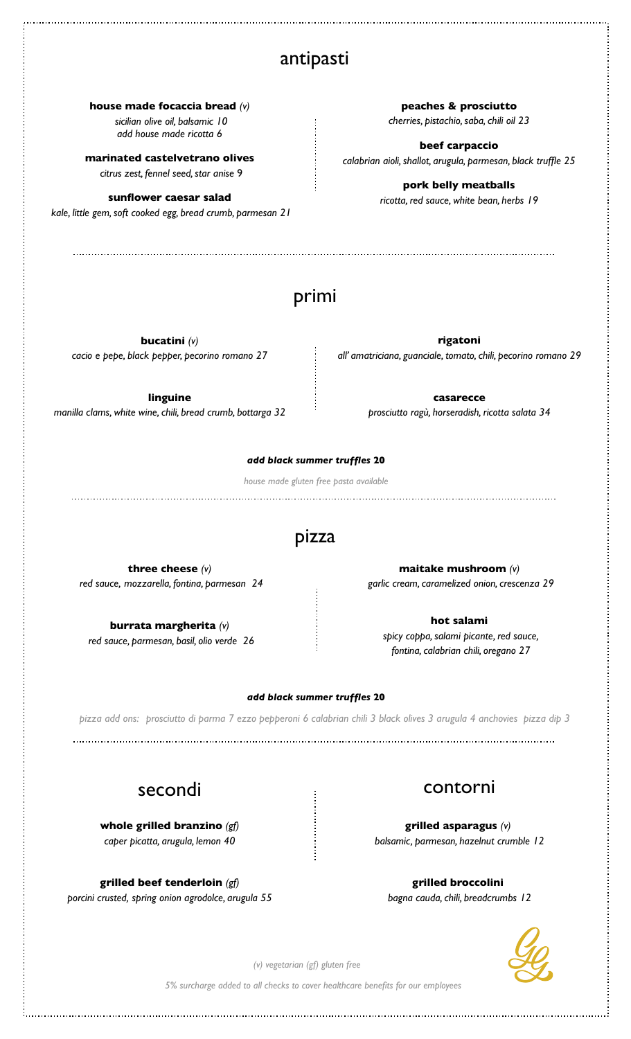## antipasti

**house made focaccia bread** *(v) sicilian olive oil, balsamic 10*

*add house made ricotta 6* 

**marinated castelvetrano olives**  *citrus zest, fennel seed, star anise* 9

**sunflower caesar salad**  *kale, little gem, soft cooked egg, bread crumb, parmesan 21*

**peaches & prosciutto**  *cherries, pistachio, saba, chili oil 23*

**beef carpaccio** *calabrian aioli, shallot, arugula, parmesan, black truffle 25*

> **pork belly meatballs** *ricotta, red sauce, white bean, herbs 19*

## primi

**bucatini** *(v) cacio e pepe, black pepper, pecorino romano 27* 

**linguine**  *manilla clams, white wine, chili, bread crumb, bottarga 32* 

> **three cheese** *(v) red sauce, mozzarella, fontina, parmesan 24*

**burrata margherita** *(v) red sauce, parmesan, basil, olio verde 26* 

**rigatoni**  *all' amatriciana, guanciale, tomato, chili, pecorino romano 29* 

> **casarecce**  *prosciutto ragù, horseradish, ricotta salata 34*

*add black summer truffles* **20**

*house made gluten free pasta available* 

## pizza

**maitake mushroom** *(v) garlic cream, caramelized onion, crescenza 29* 

> **hot salami**  *spicy coppa, salami picante, red sauce, fontina, calabrian chili, oregano 27*

### *add black summer truffles* **20**

*pizza add ons: prosciutto di parma 7 ezzo pepperoni 6 calabrian chili 3 black olives 3 arugula 4 anchovies pizza dip 3* 

**whole grilled branzino** *(gf) caper picatta, arugula, lemon 40* 

**grilled beef tenderloin** *(gf) porcini crusted, spring onion agrodolce, arugula 55* 

# secondi contorni

**grilled asparagus** *(v) balsamic, parmesan, hazelnut crumble 12* 

**grilled broccolini**  *bagna cauda, chili, breadcrumbs 12* 



*(v) vegetarian (gf) gluten free* 

*5% surcharge added to all checks to cover healthcare benefits for our employees*